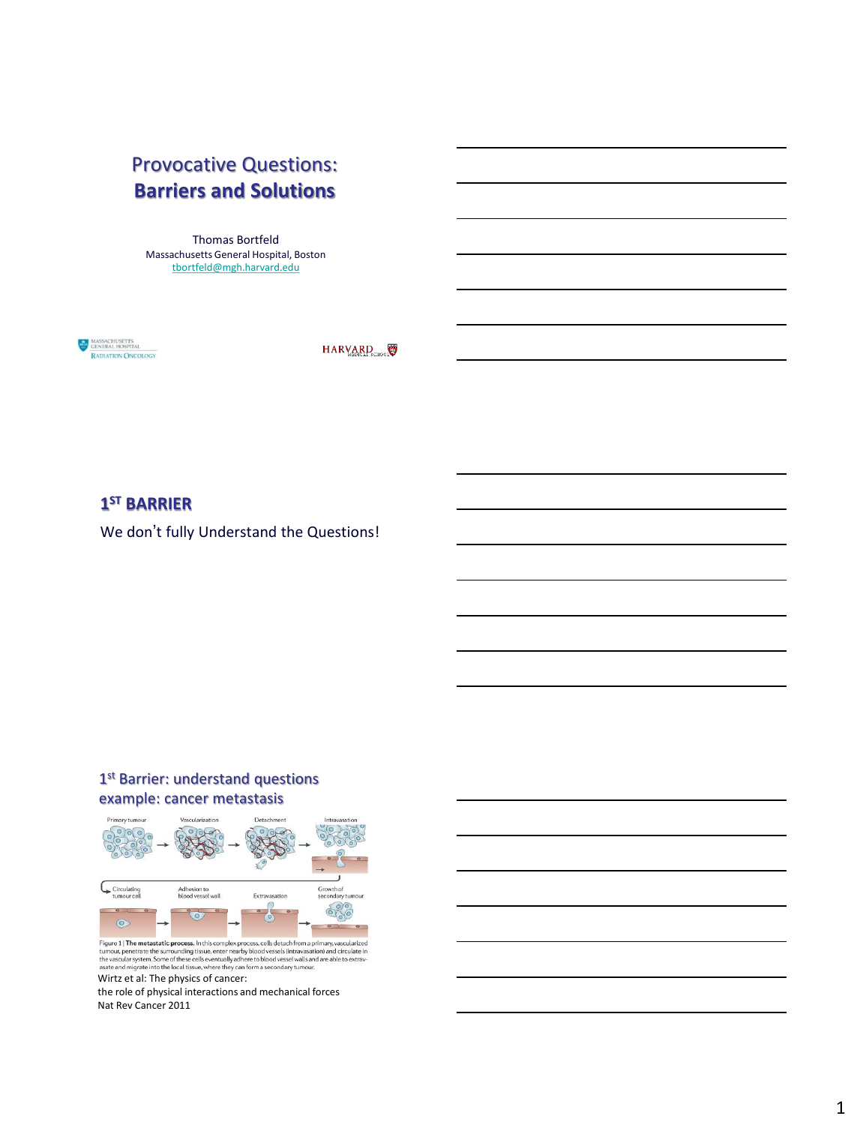# Provocative Questions: **Barriers and Solutions**

Thomas Bortfeld Massachusetts General Hospital, Boston [tbortfeld@mgh.harvard.edu](mailto:tbortfeld@mgh.harvard.edu)

MASSACHUSETTS RADIATION ONCOLOGY

HARVARD

## **1 ST BARRIER**

We don't fully Understand the Questions!

## 1<sup>st</sup> Barrier: understand questions example: cancer metastasis



Figure 1| The metastatic process. In this complex process, cells detach from a primary, vascularized tumour, penetrate the surrounding tissue, enter nearby blood vessels (intravasation) and circulate in the vascular syste

the role of physical interactions and mechanical forces Nat Rev Cancer 2011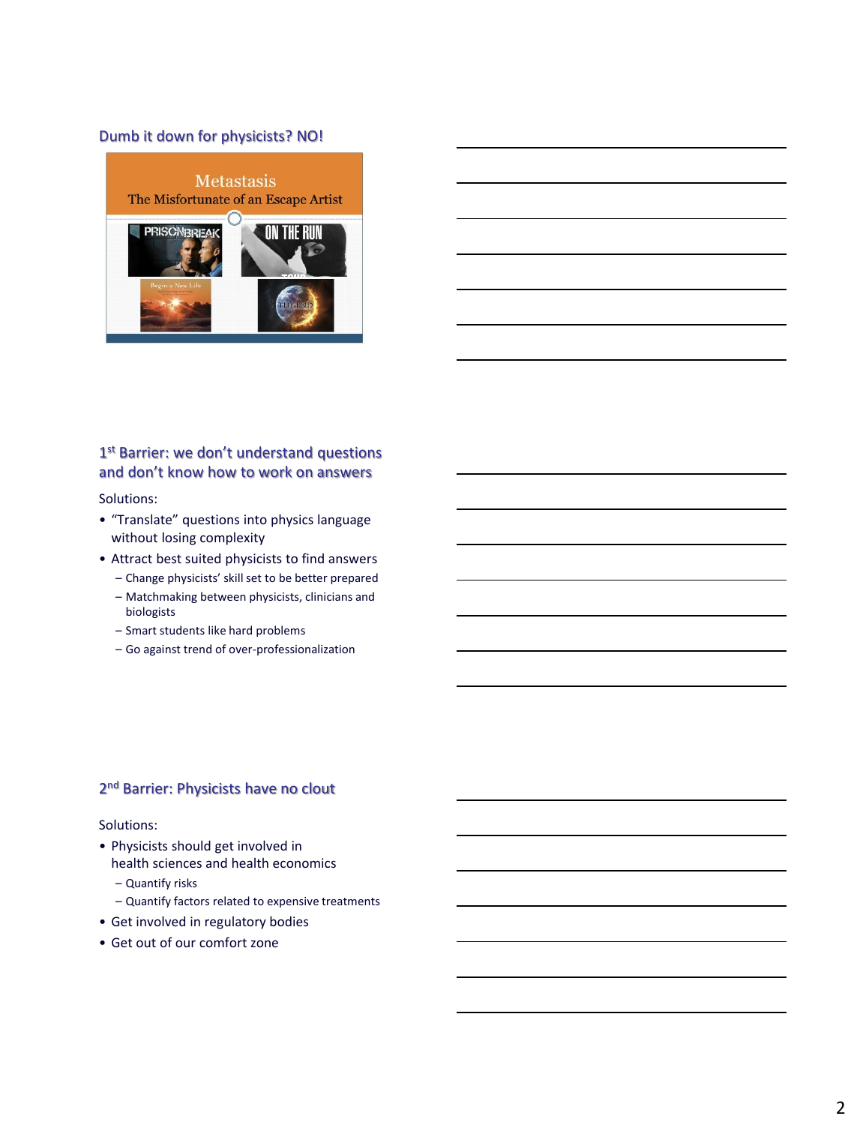## Dumb it down for physicists? NO!



## 1<sup>st</sup> Barrier: we don't understand questions and don't know how to work on answers

Solutions:

- "Translate" questions into physics language without losing complexity
- Attract best suited physicists to find answers
	- Change physicists' skill set to be better prepared
	- Matchmaking between physicists, clinicians and biologists
	- Smart students like hard problems
	- Go against trend of over-professionalization

## 2<sup>nd</sup> Barrier: Physicists have no clout

#### Solutions:

- Physicists should get involved in health sciences and health economics
	- Quantify risks
	- Quantify factors related to expensive treatments
- Get involved in regulatory bodies
- Get out of our comfort zone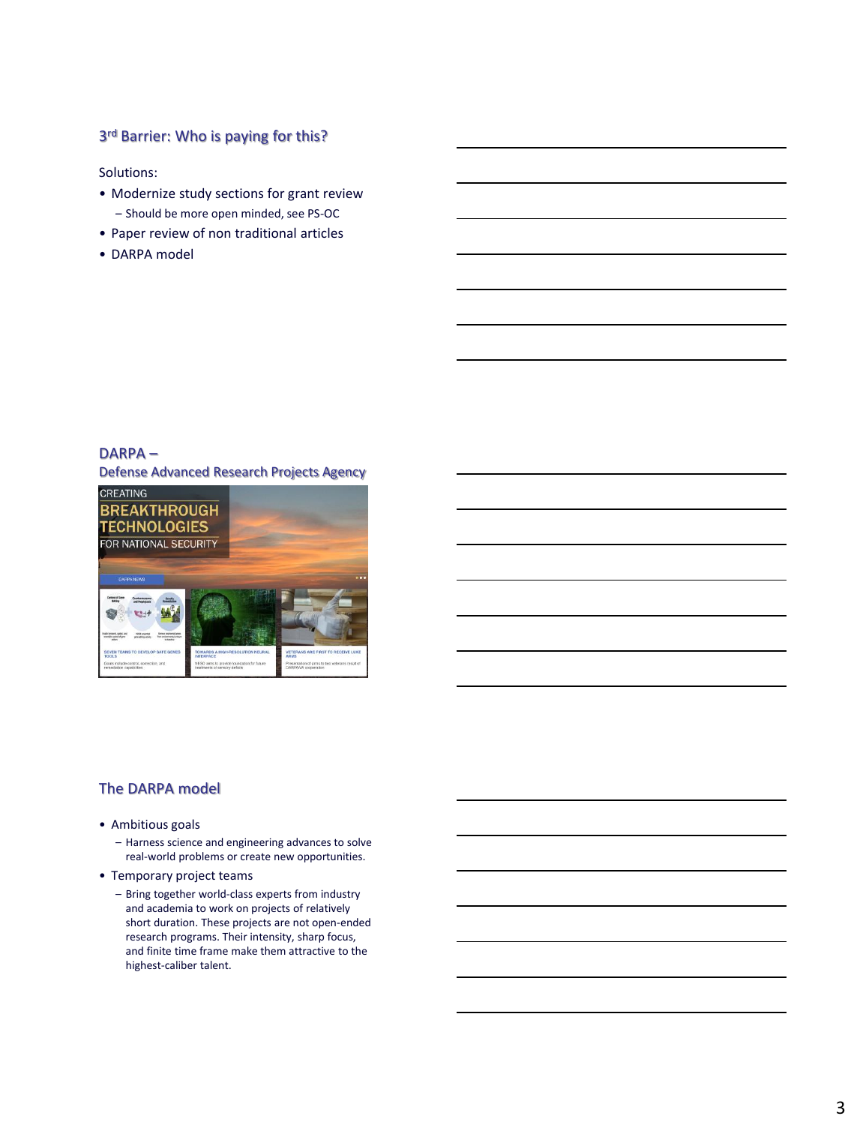### 3<sup>rd</sup> Barrier: Who is paying for this?

Solutions:

- Modernize study sections for grant review – Should be more open minded, see PS-OC
- Paper review of non traditional articles
- DARPA model

### DARPA –

Defense Advanced Research Projects Agency



### The DARPA model

- Ambitious goals
	- Harness science and engineering advances to solve real-world problems or create new opportunities.
- Temporary project teams
	- Bring together world-class experts from industry and academia to work on projects of relatively short duration. These projects are not open-ended research programs. Their intensity, sharp focus, and finite time frame make them attractive to the highest-caliber talent.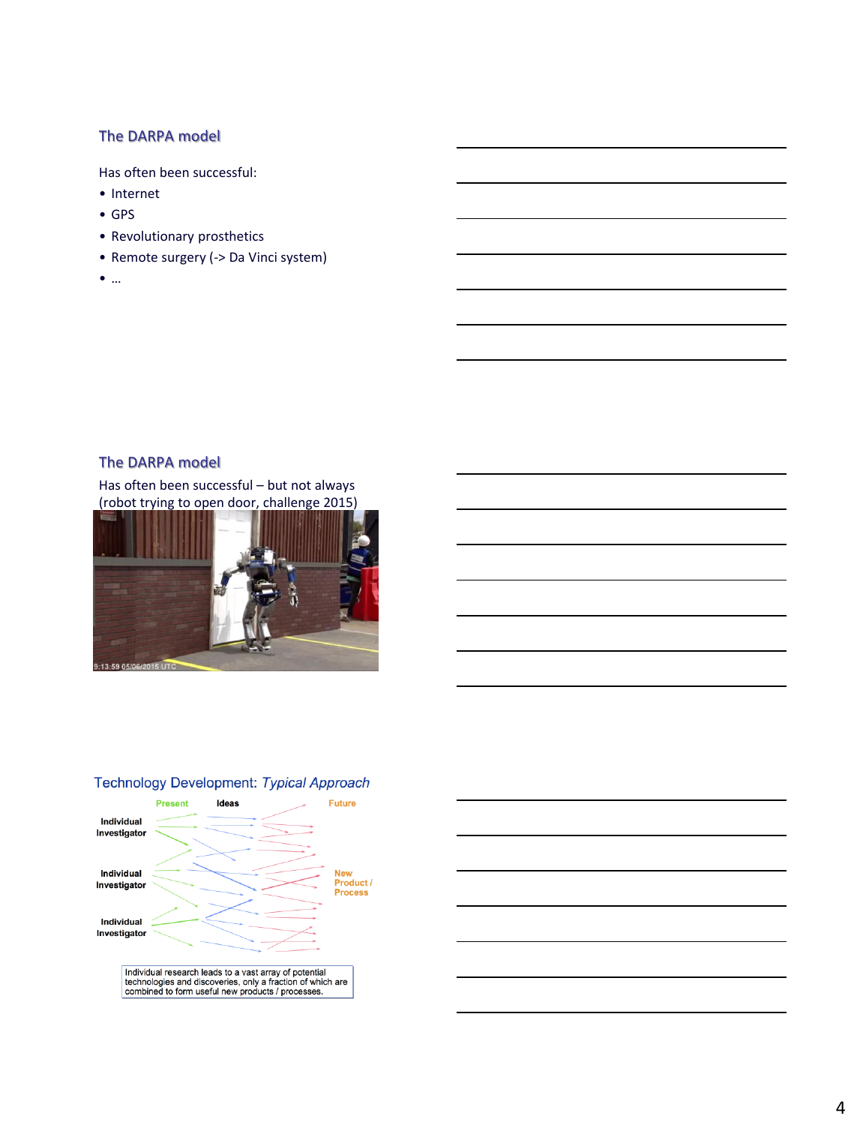### The DARPA model

Has often been successful:

- Internet
- GPS
- Revolutionary prosthetics
- Remote surgery (-> Da Vinci system)
- …

## The DARPA model

Has often been successful – but not always (robot trying to open door, challenge 2015)





### Technology Development: Typical Approach

Individual research leads to a vast array of potential<br>technologies and discoveries, only a fraction of which are<br>combined to form useful new products / processes.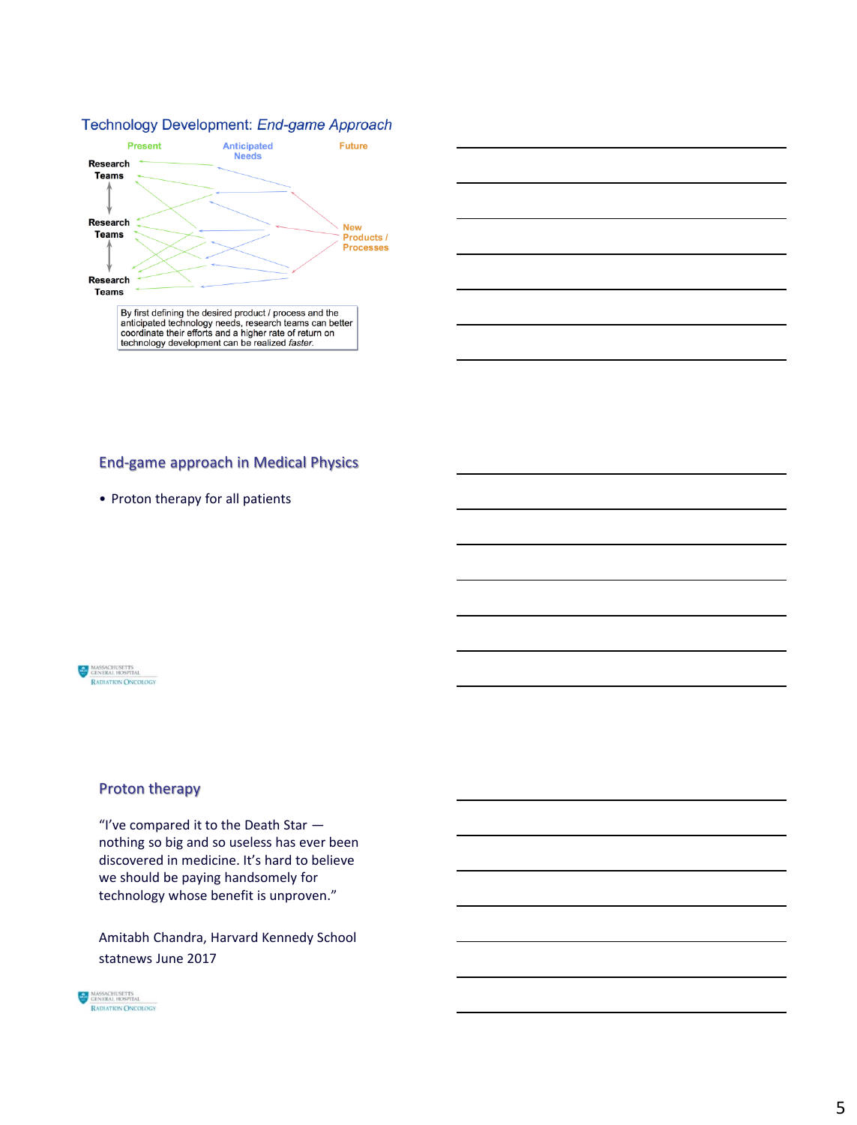#### Technology Development: End-game Approach





### End-game approach in Medical Physics

• Proton therapy for all patients



## Proton therapy

"I've compared it to the Death Star nothing so big and so useless has ever been discovered in medicine. It's hard to believe we should be paying handsomely for technology whose benefit is unproven."

Amitabh Chandra, Harvard Kennedy School statnews June 2017

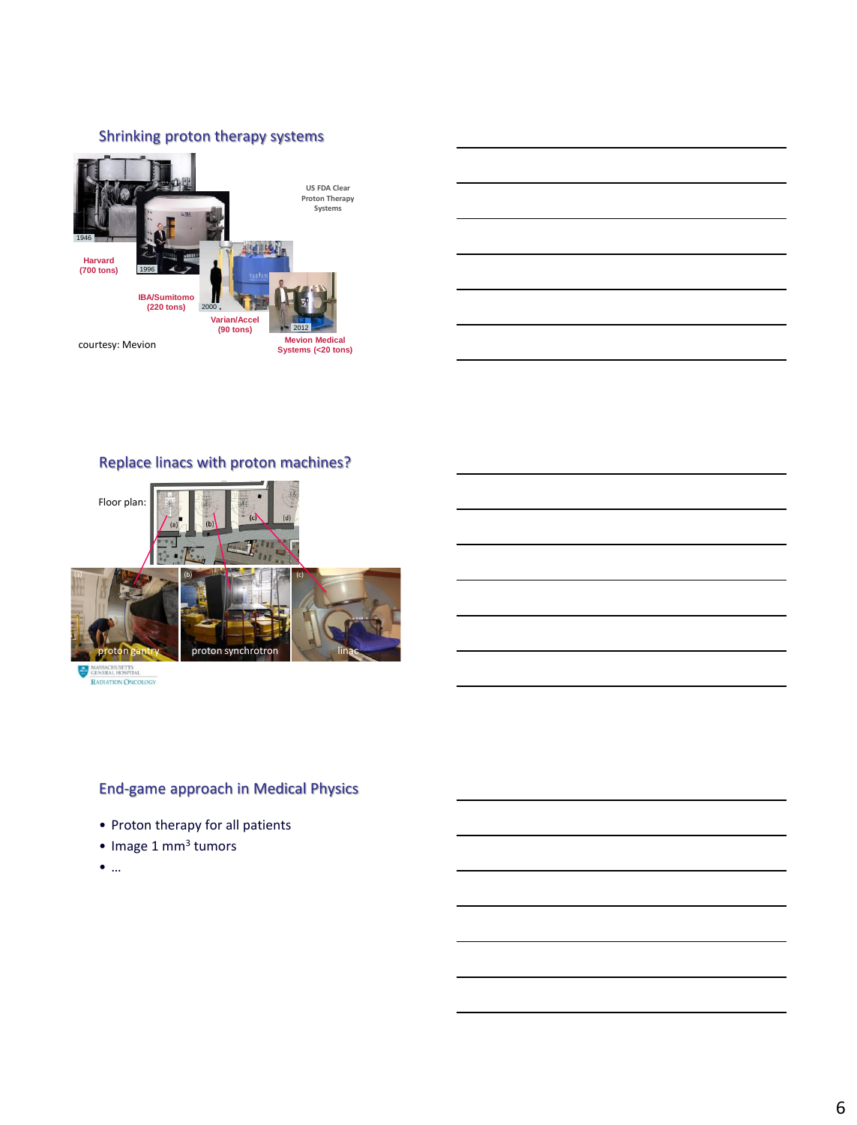## Shrinking proton therapy systems



## Replace linacs with proton machines?



MASSACHUSETTS RADIATION ONCOLOGY

## End-game approach in Medical Physics

- Proton therapy for all patients
- Image 1 mm<sup>3</sup> tumors
- …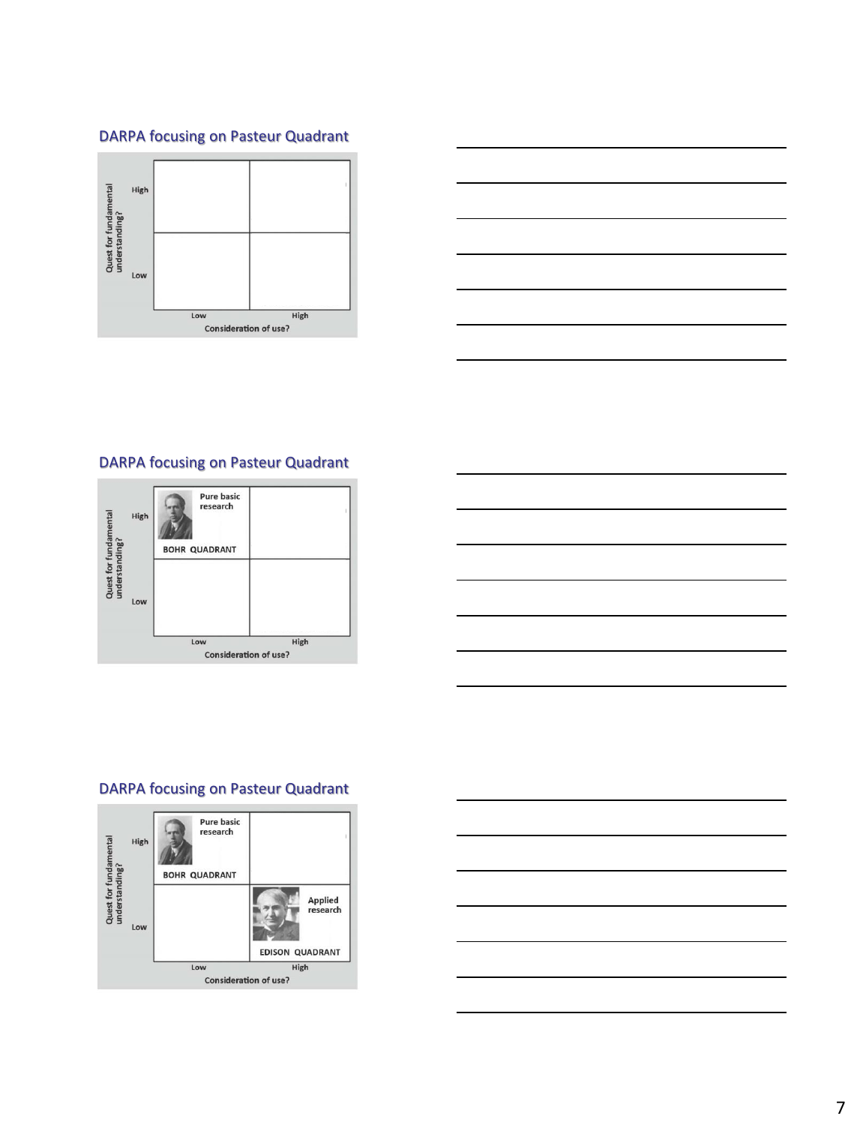## DARPA focusing on Pasteur Quadrant





## DARPA focusing on Pasteur Quadrant





## DARPA focusing on Pasteur Quadrant